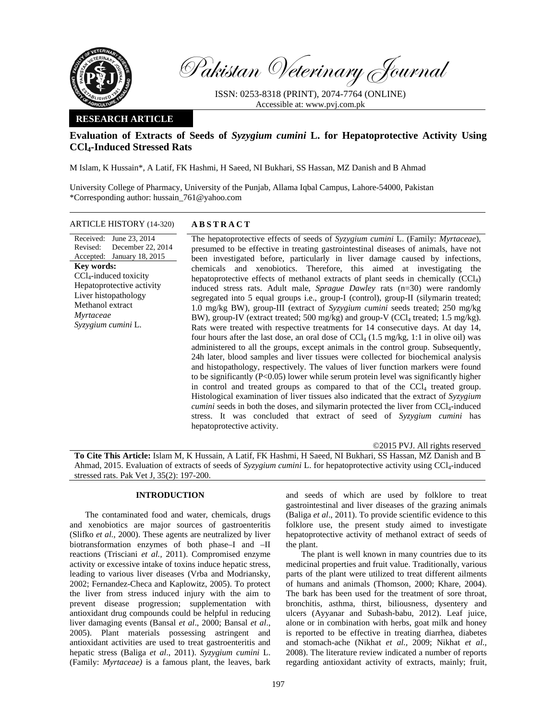

Pakistan Veterinary Journal

ISSN: 0253-8318 (PRINT), 2074-7764 (ONLINE) Accessible at: www.pvj.com.pk

## **RESEARCH ARTICLE**

# **Evaluation of Extracts of Seeds of** *Syzygium cumini* **L. for Hepatoprotective Activity Using CCl4-Induced Stressed Rats**

M Islam, K Hussain\*, A Latif, FK Hashmi, H Saeed, NI Bukhari, SS Hassan, MZ Danish and B Ahmad

University College of Pharmacy, University of the Punjab, Allama Iqbal Campus, Lahore-54000, Pakistan \*Corresponding author: hussain\_761@yahoo.com

ARTICLE HISTORY (14-320) **ABSTRACT** 

## Received: June 23, 2014 Revised: Accepted: January 18, 2015 December 22, 2014 **Key words:**  CCl4-induced toxicity Hepatoprotective activity Liver histopathology Methanol extract *Myrtaceae Syzygium cumini* L.

 The hepatoprotective effects of seeds of *Syzygium cumini* L. (Family: *Myrtaceae*), presumed to be effective in treating gastrointestinal diseases of animals, have not been investigated before, particularly in liver damage caused by infections, chemicals and xenobiotics. Therefore, this aimed at investigating the hepatoprotective effects of methanol extracts of plant seeds in chemically  $(CCl<sub>4</sub>)$ induced stress rats. Adult male, *Sprague Dawley* rats (n=30) were randomly segregated into 5 equal groups i.e., group-I (control), group-II (silymarin treated; 1.0 mg/kg BW), group-III (extract of *Syzygium cumini* seeds treated; 250 mg/kg BW), group-IV (extract treated; 500 mg/kg) and group-V (CCl<sub>4</sub> treated; 1.5 mg/kg). Rats were treated with respective treatments for 14 consecutive days. At day 14, four hours after the last dose, an oral dose of  $\text{CCl}_4$  (1.5 mg/kg, 1:1 in olive oil) was administered to all the groups, except animals in the control group. Subsequently, 24h later, blood samples and liver tissues were collected for biochemical analysis and histopathology, respectively. The values of liver function markers were found to be significantly  $(P<0.05)$  lower while serum protein level was significantly higher in control and treated groups as compared to that of the  $\text{CC}l_4$  treated group. Histological examination of liver tissues also indicated that the extract of *Syzygium cumini* seeds in both the doses, and silymarin protected the liver from CCl<sub>4</sub>-induced stress. It was concluded that extract of seed of *Syzygium cumini* has hepatoprotective activity.

©2015 PVJ. All rights reserved

**To Cite This Article:** Islam M, K Hussain, A Latif, FK Hashmi, H Saeed, NI Bukhari, SS Hassan, MZ Danish and B Ahmad, 2015. Evaluation of extracts of seeds of *Syzygium cumini* L. for hepatoprotective activity using CCl<sub>4</sub>-induced stressed rats. Pak Vet J, 35(2): 197-200.

## **INTRODUCTION**

The contaminated food and water, chemicals, drugs and xenobiotics are major sources of gastroenteritis (Slifko *et al.,* 2000). These agents are neutralized by liver biotransformation enzymes of both phase–I and –II reactions (Trisciani *et al.,* 2011). Compromised enzyme activity or excessive intake of toxins induce hepatic stress, leading to various liver diseases (Vrba and Modriansky, 2002; Fernandez-Checa and Kaplowitz, 2005). To protect the liver from stress induced injury with the aim to prevent disease progression; supplementation with antioxidant drug compounds could be helpful in reducing liver damaging events (Bansal *et al*., 2000; Bansal *et al*., 2005). Plant materials possessing astringent and antioxidant activities are used to treat gastroenteritis and hepatic stress (Baliga *et al*., 2011). *Syzygium cumini* L. (Family: *Myrtaceae)* is a famous plant, the leaves, bark

and seeds of which are used by folklore to treat gastrointestinal and liver diseases of the grazing animals (Baliga *et al*., 2011). To provide scientific evidence to this folklore use, the present study aimed to investigate hepatoprotective activity of methanol extract of seeds of the plant.

The plant is well known in many countries due to its medicinal properties and fruit value. Traditionally, various parts of the plant were utilized to treat different ailments of humans and animals (Thomson, 2000; Khare, 2004). The bark has been used for the treatment of sore throat, bronchitis, asthma, thirst, biliousness, dysentery and ulcers (Ayyanar and Subash-babu, 2012). Leaf juice, alone or in combination with herbs, goat milk and honey is reported to be effective in treating diarrhea, diabetes and stomach-ache (Nikhat *et al.,* 2009; Nikhat *et al.,* 2008). The literature review indicated a number of reports regarding antioxidant activity of extracts, mainly; fruit,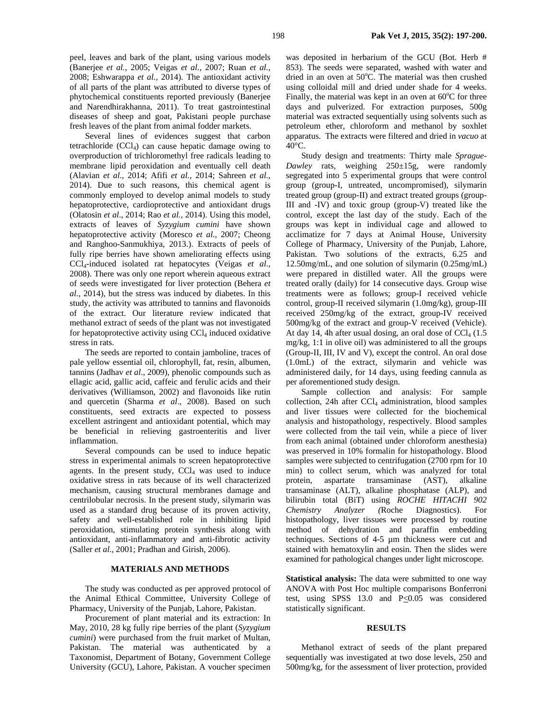peel, leaves and bark of the plant, using various models (Banerjee *et al.,* 2005; Veigas *et al.,* 2007; Ruan *et al.,* 2008; Eshwarappa *et al.,* 2014). The antioxidant activity of all parts of the plant was attributed to diverse types of phytochemical constituents reported previously (Banerjee and Narendhirakhanna, 2011). To treat gastrointestinal diseases of sheep and goat, Pakistani people purchase fresh leaves of the plant from animal fodder markets.

Several lines of evidences suggest that carbon tetrachloride  $(CCl<sub>4</sub>)$  can cause hepatic damage owing to overproduction of trichloromethyl free radicals leading to membrane lipid peroxidation and eventually cell death (Alavian *et al.,* 2014; Afifi *et al.,* 2014; Sahreen *et al.,* 2014). Due to such reasons, this chemical agent is commonly employed to develop animal models to study hepatoprotective, cardioprotective and antioxidant drugs (Olatosin *et al*., 2014; Rao *et al.,* 2014). Using this model, extracts of leaves of *Syzygium cumini* have shown hepatoprotective activity (Moresco *et al.,* 2007; Cheong and Ranghoo-Sanmukhiya, 2013.). Extracts of peels of fully ripe berries have shown ameliorating effects using CCl4-induced isolated rat hepatocytes (Veigas *et al.,* 2008). There was only one report wherein aqueous extract of seeds were investigated for liver protection (Behera *et al.,* 2014), but the stress was induced by diabetes. In this study, the activity was attributed to tannins and flavonoids of the extract. Our literature review indicated that methanol extract of seeds of the plant was not investigated for hepatoprotective activity using  $CCl<sub>4</sub>$  induced oxidative stress in rats.

The seeds are reported to contain jamboline, traces of pale yellow essential oil, chlorophyll, fat, resin, albumen, tannins (Jadhav *et al.,* 2009), phenolic compounds such as ellagic acid, gallic acid, caffeic and ferulic acids and their derivatives (Williamson, 2002) and flavonoids like rutin and quercetin (Sharma *et al*., 2008). Based on such constituents, seed extracts are expected to possess excellent astringent and antioxidant potential, which may be beneficial in relieving gastroenteritis and liver inflammation.

Several compounds can be used to induce hepatic stress in experimental animals to screen hepatoprotective agents. In the present study,  $CCl<sub>4</sub>$  was used to induce oxidative stress in rats because of its well characterized mechanism, causing structural membranes damage and centrilobular necrosis. In the present study, silymarin was used as a standard drug because of its proven activity, safety and well-established role in inhibiting lipid peroxidation, stimulating protein synthesis along with antioxidant, anti-inflammatory and anti-fibrotic activity (Saller *et al.,* 2001; Pradhan and Girish, 2006).

## **MATERIALS AND METHODS**

The study was conducted as per approved protocol of the Animal Ethical Committee, University College of Pharmacy, University of the Punjab, Lahore, Pakistan.

Procurement of plant material and its extraction: In May, 2010, 28 kg fully ripe berries of the plant (*Syzygium cumini*) were purchased from the fruit market of Multan, Pakistan. The material was authenticated by a Taxonomist, Department of Botany, Government College University (GCU), Lahore, Pakistan. A voucher specimen

was deposited in herbarium of the GCU (Bot. Herb # 853). The seeds were separated, washed with water and dried in an oven at  $50^{\circ}$ C. The material was then crushed using colloidal mill and dried under shade for 4 weeks. Finally, the material was kept in an oven at  $60^{\circ}$ C for three days and pulverized. For extraction purposes, 500g material was extracted sequentially using solvents such as petroleum ether, chloroform and methanol by soxhlet apparatus. The extracts were filtered and dried in *vacuo* at 40°C.

Study design and treatments: Thirty male *Sprague-Dawley* rats, weighing 250±15g, were randomly segregated into 5 experimental groups that were control group (group-I, untreated, uncompromised), silymarin treated group (group-II) and extract treated groups (group-III and -IV) and toxic group (group-V) treated like the control, except the last day of the study. Each of the groups was kept in individual cage and allowed to acclimatize for 7 days at Animal House, University College of Pharmacy, University of the Punjab, Lahore, Pakistan. Two solutions of the extracts, 6.25 and 12.50mg/mL, and one solution of silymarin (0.25mg/mL) were prepared in distilled water. All the groups were treated orally (daily) for 14 consecutive days. Group wise treatments were as follows; group-I received vehicle control, group-II received silymarin (1.0mg/kg), group-III received 250mg/kg of the extract, group-IV received 500mg/kg of the extract and group-V received (Vehicle). At day 14, 4h after usual dosing, an oral dose of  $CCl<sub>4</sub>$  (1.5) mg/kg, 1:1 in olive oil) was administered to all the groups (Group-II, III, IV and V), except the control. An oral dose (1.0mL) of the extract, silymarin and vehicle was administered daily, for 14 days, using feeding cannula as per aforementioned study design.

Sample collection and analysis: For sample collection, 24h after CCl<sub>4</sub> administration, blood samples and liver tissues were collected for the biochemical analysis and histopathology, respectively. Blood samples were collected from the tail vein, while a piece of liver from each animal (obtained under chloroform anesthesia) was preserved in 10% formalin for histopathology. Blood samples were subjected to centrifugation (2700 rpm for 10 min) to collect serum, which was analyzed for total protein, aspartate transaminase (AST), alkaline transaminase (ALT), alkaline phosphatase (ALP), and bilirubin total (BiT) using *ROCHE HITACHI 902 Chemistry Analyzer (*Roche Diagnostics). For histopathology, liver tissues were processed by routine method of dehydration and paraffin embedding techniques. Sections of 4-5 µm thickness were cut and stained with hematoxylin and eosin. Then the slides were examined for pathological changes under light microscope.

**Statistical analysis:** The data were submitted to one way ANOVA with Post Hoc multiple comparisons Bonferroni test, using SPSS 13.0 and  $P \le 0.05$  was considered statistically significant.

### **RESULTS**

Methanol extract of seeds of the plant prepared sequentially was investigated at two dose levels, 250 and 500mg/kg, for the assessment of liver protection, provided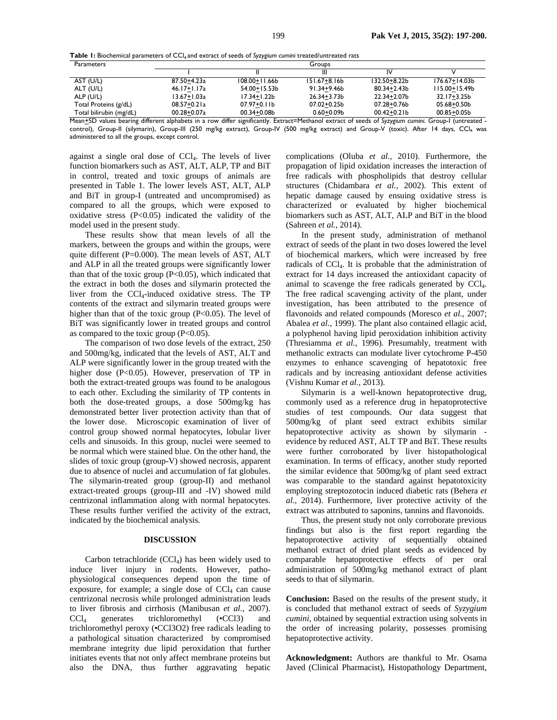|  |  |  | Table I: Biochemical parameters of CCl <sub>4</sub> and extract of seeds of Syzygium cumini treated/untreated rats |  |
|--|--|--|--------------------------------------------------------------------------------------------------------------------|--|
|  |  |  |                                                                                                                    |  |

| <b>Parameters</b>       | Groups          |                 |                  |                 |                   |  |  |
|-------------------------|-----------------|-----------------|------------------|-----------------|-------------------|--|--|
|                         |                 |                 | Ш                | IV              |                   |  |  |
| AST (U/L)               | 87.50+4.23a     | 108.00+11.66b   | $151.67 + 8.16b$ | 132.50+8.22b    | 176.67+14.03b     |  |  |
| ALT (U/L)               | 46.17+1.17a     | 54.00+15.53b    | 91.34+9.46b      | 80.34+2.43b     | l I 5.00+ I 5.49b |  |  |
| ALP (U/L)               | 13.67+1.03a     | 17.34+1.22b     | 26.34+3.73b      | 22.34+2.07b     | 32.17+3.25b       |  |  |
| Total Proteins (g/dL)   | $08.57 + 0.21a$ | $07.97 + 0.11b$ | $07.02 + 0.25b$  | 07.28+0.76b     | 05.68+0.50b       |  |  |
| Total bilirubin (mg/dL) | $00.28 + 0.07a$ | 00.34+0.08b     | $0.60 + 0.09$    | $00.42 + 0.21b$ | $00.85 + 0.05b$   |  |  |

Mean*+*SD values bearing different alphabets in a row differ significantly. Extract=Methanol extract of seeds of *Syzygium cumini*. Group-I (untreated control), Group-II (silymarin), Group-III (250 mg/kg extract), Group-IV (500 mg/kg extract) and Group-V (toxic). After 14 days, CCl<sub>4</sub> was administered to all the groups, except control.

against a single oral dose of CCl4. The levels of liver function biomarkers such as AST, ALT, ALP, TP and BiT in control, treated and toxic groups of animals are presented in Table 1. The lower levels AST, ALT, ALP and BiT in group-I (untreated and uncompromised) as compared to all the groups, which were exposed to oxidative stress  $(P<0.05)$  indicated the validity of the model used in the present study.

These results show that mean levels of all the markers, between the groups and within the groups, were quite different (P=0.000). The mean levels of AST, ALT and ALP in all the treated groups were significantly lower than that of the toxic group (P<0.05), which indicated that the extract in both the doses and silymarin protected the liver from the CCl4-induced oxidative stress. The TP contents of the extract and silymarin treated groups were higher than that of the toxic group (P<0.05). The level of BiT was significantly lower in treated groups and control as compared to the toxic group  $(P<0.05)$ .

The comparison of two dose levels of the extract, 250 and 500mg/kg, indicated that the levels of AST, ALT and ALP were significantly lower in the group treated with the higher dose (P<0.05). However, preservation of TP in both the extract-treated groups was found to be analogous to each other. Excluding the similarity of TP contents in both the dose-treated groups, a dose 500mg/kg has demonstrated better liver protection activity than that of the lower dose. Microscopic examination of liver of control group showed normal hepatocytes, lobular liver cells and sinusoids. In this group, nuclei were seemed to be normal which were stained blue. On the other hand, the slides of toxic group (group-V) showed necrosis, apparent due to absence of nuclei and accumulation of fat globules. The silymarin-treated group (group-II) and methanol extract-treated groups (group-III and -IV) showed mild centrizonal inflammation along with normal hepatocytes. These results further verified the activity of the extract, indicated by the biochemical analysis.

#### **DISCUSSION**

Carbon tetrachloride (CCl4) has been widely used to induce liver injury in rodents. However, pathophysiological consequences depend upon the time of exposure, for example; a single dose of  $CCl<sub>4</sub>$  can cause centrizonal necrosis while prolonged administration leads to liver fibrosis and cirrhosis (Manibusan *et al.,* 2007). CCl4 generates trichloromethyl (•CCl3) and trichloromethyl peroxy (•CCl3O2) free radicals leading to a pathological situation characterized by compromised membrane integrity due lipid peroxidation that further initiates events that not only affect membrane proteins but also the DNA, thus further aggravating hepatic

complications (Oluba *et al.,* 2010). Furthermore, the propagation of lipid oxidation increases the interaction of free radicals with phospholipids that destroy cellular structures (Chidambara *et al.,* 2002). This extent of hepatic damage caused by ensuing oxidative stress is characterized or evaluated by higher biochemical biomarkers such as AST, ALT, ALP and BiT in the blood (Sahreen *et al.,* 2014).

In the present study, administration of methanol extract of seeds of the plant in two doses lowered the level of biochemical markers, which were increased by free radicals of CCl<sub>4</sub>. It is probable that the administration of extract for 14 days increased the antioxidant capacity of animal to scavenge the free radicals generated by  $\text{CCl}_4$ . The free radical scavenging activity of the plant, under investigation, has been attributed to the presence of flavonoids and related compounds (Moresco *et al.,* 2007; Abalea *et al.,* 1999). The plant also contained ellagic acid, a polyphenol having lipid peroxidation inhibition activity (Thresiamma *et al.,* 1996). Presumably, treatment with methanolic extracts can modulate liver cytochrome P-450 enzymes to enhance scavenging of hepatotoxic free radicals and by increasing antioxidant defense activities (Vishnu Kumar *et al.,* 2013).

Silymarin is a well-known hepatoprotective drug, commonly used as a reference drug in hepatoprotective studies of test compounds. Our data suggest that 500mg/kg of plant seed extract exhibits similar hepatoprotective activity as shown by silymarin evidence by reduced AST, ALT TP and BiT. These results were further corroborated by liver histopathological examination. In terms of efficacy, another study reported the similar evidence that 500mg/kg of plant seed extract was comparable to the standard against hepatotoxicity employing streptozotocin induced diabetic rats (Behera *et al.,* 2014). Furthermore, liver protective activity of the extract was attributed to saponins, tannins and flavonoids.

Thus, the present study not only corroborate previous findings but also is the first report regarding the hepatoprotective activity of sequentially obtained methanol extract of dried plant seeds as evidenced by comparable hepatoprotective effects of per oral administration of 500mg/kg methanol extract of plant seeds to that of silymarin.

**Conclusion:** Based on the results of the present study, it is concluded that methanol extract of seeds of *Syzygium cumini*, obtained by sequential extraction using solvents in the order of increasing polarity, possesses promising hepatoprotective activity.

**Acknowledgment:** Authors are thankful to Mr. Osama Javed (Clinical Pharmacist), Histopathology Department,